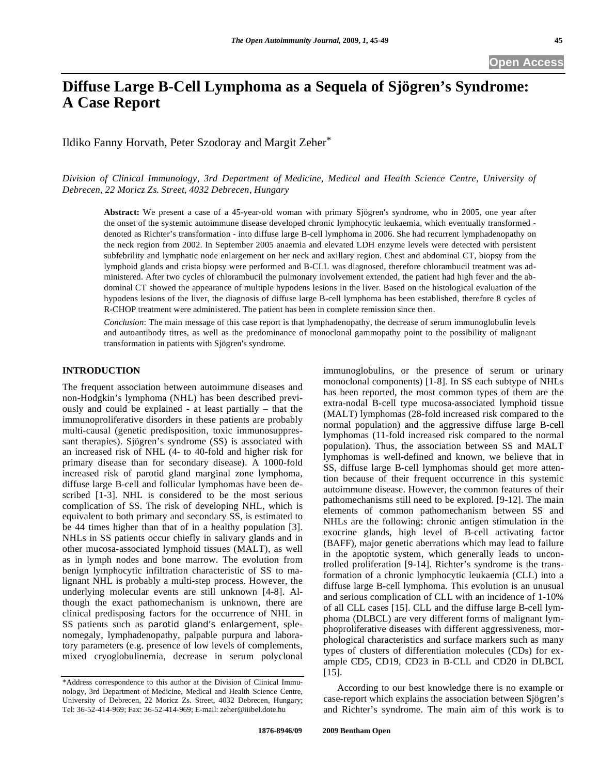Ildiko Fanny Horvath, Peter Szodoray and Margit Zeher\*

*Division of Clinical Immunology, 3rd Department of Medicine, Medical and Health Science Centre, University of Debrecen, 22 Moricz Zs. Street, 4032 Debrecen, Hungary* 

**Abstract:** We present a case of a 45-year-old woman with primary Sjögren's syndrome, who in 2005, one year after the onset of the systemic autoimmune disease developed chronic lymphocytic leukaemia, which eventually transformed denoted as Richter's transformation - into diffuse large B-cell lymphoma in 2006. She had recurrent lymphadenopathy on the neck region from 2002. In September 2005 anaemia and elevated LDH enzyme levels were detected with persistent subfebrility and lymphatic node enlargement on her neck and axillary region. Chest and abdominal CT, biopsy from the lymphoid glands and crista biopsy were performed and B-CLL was diagnosed, therefore chlorambucil treatment was administered. After two cycles of chlorambucil the pulmonary involvement extended, the patient had high fever and the abdominal CT showed the appearance of multiple hypodens lesions in the liver. Based on the histological evaluation of the hypodens lesions of the liver, the diagnosis of diffuse large B-cell lymphoma has been established, therefore 8 cycles of R-CHOP treatment were administered. The patient has been in complete remission since then.

*Conclusion*: The main message of this case report is that lymphadenopathy, the decrease of serum immunoglobulin levels and autoantibody titres, as well as the predominance of monoclonal gammopathy point to the possibility of malignant transformation in patients with Sjögren's syndrome.

## **INTRODUCTION**

The frequent association between autoimmune diseases and non-Hodgkin's lymphoma (NHL) has been described previously and could be explained - at least partially – that the immunoproliferative disorders in these patients are probably multi-causal (genetic predisposition, toxic immunosuppressant therapies). Sjögren's syndrome (SS) is associated with an increased risk of NHL (4- to 40-fold and higher risk for primary disease than for secondary disease). A 1000-fold increased risk of parotid gland marginal zone lymphoma, diffuse large B-cell and follicular lymphomas have been described [1-3]. NHL is considered to be the most serious complication of SS. The risk of developing NHL, which is equivalent to both primary and secondary SS, is estimated to be 44 times higher than that of in a healthy population [3]. NHLs in SS patients occur chiefly in salivary glands and in other mucosa-associated lymphoid tissues (MALT), as well as in lymph nodes and bone marrow. The evolution from benign lymphocytic infiltration characteristic of SS to malignant NHL is probably a multi-step process. However, the underlying molecular events are still unknown [4-8]. Although the exact pathomechanism is unknown, there are clinical predisposing factors for the occurrence of NHL in SS patients such as parotid gland's enlargement, splenomegaly, lymphadenopathy, palpable purpura and laboratory parameters (e.g. presence of low levels of complements, mixed cryoglobulinemia, decrease in serum polyclonal immunoglobulins, or the presence of serum or urinary monoclonal components) [1-8]. In SS each subtype of NHLs has been reported, the most common types of them are the extra-nodal B-cell type mucosa-associated lymphoid tissue (MALT) lymphomas (28-fold increased risk compared to the normal population) and the aggressive diffuse large B-cell lymphomas (11-fold increased risk compared to the normal population). Thus, the association between SS and MALT lymphomas is well-defined and known, we believe that in SS, diffuse large B-cell lymphomas should get more attention because of their frequent occurrence in this systemic autoimmune disease. However, the common features of their pathomechanisms still need to be explored. [9-12]. The main elements of common pathomechanism between SS and NHLs are the following: chronic antigen stimulation in the exocrine glands, high level of B-cell activating factor (BAFF), major genetic aberrations which may lead to failure in the apoptotic system, which generally leads to uncontrolled proliferation [9-14]. Richter's syndrome is the transformation of a chronic lymphocytic leukaemia (CLL) into a diffuse large B-cell lymphoma. This evolution is an unusual and serious complication of CLL with an incidence of 1-10% of all CLL cases [15]. CLL and the diffuse large B-cell lymphoma (DLBCL) are very different forms of malignant lymphoproliferative diseases with different aggressiveness, morphological characteristics and surface markers such as many types of clusters of differentiation molecules (CDs) for example CD5, CD19, CD23 in B-CLL and CD20 in DLBCL [15].

 According to our best knowledge there is no example or case-report which explains the association between Sjögren's and Richter's syndrome. The main aim of this work is to

<sup>\*</sup>Address correspondence to this author at the Division of Clinical Immunology, 3rd Department of Medicine, Medical and Health Science Centre, University of Debrecen, 22 Moricz Zs. Street, 4032 Debrecen, Hungary; Tel: 36-52-414-969; Fax: 36-52-414-969; E-mail: zeher@iiibel.dote.hu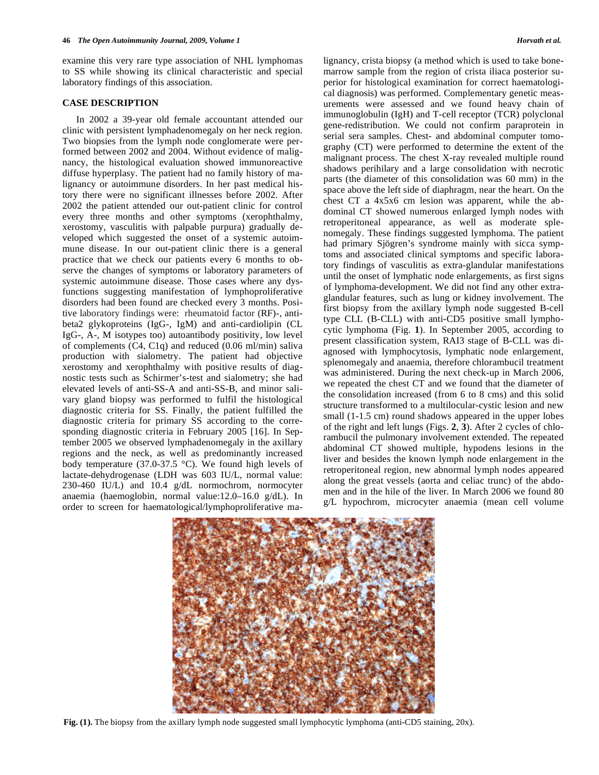examine this very rare type association of NHL lymphomas to SS while showing its clinical characteristic and special laboratory findings of this association.

## **CASE DESCRIPTION**

 In 2002 a 39-year old female accountant attended our clinic with persistent lymphadenomegaly on her neck region. Two biopsies from the lymph node conglomerate were performed between 2002 and 2004. Without evidence of malignancy, the histological evaluation showed immunoreactive diffuse hyperplasy. The patient had no family history of malignancy or autoimmune disorders. In her past medical history there were no significant illnesses before 2002. After 2002 the patient attended our out-patient clinic for control every three months and other symptoms (xerophthalmy, xerostomy, vasculitis with palpable purpura) gradually developed which suggested the onset of a systemic autoimmune disease. In our out-patient clinic there is a general practice that we check our patients every 6 months to observe the changes of symptoms or laboratory parameters of systemic autoimmune disease. Those cases where any dysfunctions suggesting manifestation of lymphoproliferative disorders had been found are checked every 3 months. Positive laboratory findings were: rheumatoid factor (RF)-, antibeta2 glykoproteins (IgG-, IgM) and anti-cardiolipin (CL IgG-, A-, M isotypes too) autoantibody positivity, low level of complements (C4, C1q) and reduced (0.06 ml/min) saliva production with sialometry. The patient had objective xerostomy and xerophthalmy with positive results of diagnostic tests such as Schirmer's-test and sialometry; she had elevated levels of anti-SS-A and anti-SS-B, and minor salivary gland biopsy was performed to fulfil the histological diagnostic criteria for SS. Finally, the patient fulfilled the diagnostic criteria for primary SS according to the corresponding diagnostic criteria in February 2005 [16]. In September 2005 we observed lymphadenomegaly in the axillary regions and the neck, as well as predominantly increased body temperature (37.0-37.5 °C). We found high levels of lactate-dehydrogenase (LDH was 603 IU/L, normal value: 230-460 IU/L) and 10.4 g/dL normochrom, normocyter anaemia (haemoglobin, normal value:12.0–16.0 g/dL). In order to screen for haematological/lymphoproliferative malignancy, crista biopsy (a method which is used to take bonemarrow sample from the region of crista iliaca posterior superior for histological examination for correct haematological diagnosis) was performed. Complementary genetic measurements were assessed and we found heavy chain of immunoglobulin (IgH) and T-cell receptor (TCR) polyclonal gene-redistribution. We could not confirm paraprotein in serial sera samples. Chest- and abdominal computer tomography (CT) were performed to determine the extent of the malignant process. The chest X-ray revealed multiple round shadows perihilary and a large consolidation with necrotic parts (the diameter of this consolidation was 60 mm) in the space above the left side of diaphragm, near the heart. On the chest CT a 4x5x6 cm lesion was apparent, while the abdominal CT showed numerous enlarged lymph nodes with retroperitoneal appearance, as well as moderate splenomegaly. These findings suggested lymphoma. The patient had primary Sjögren's syndrome mainly with sicca symptoms and associated clinical symptoms and specific laboratory findings of vasculitis as extra-glandular manifestations until the onset of lymphatic node enlargements, as first signs of lymphoma-development. We did not find any other extraglandular features, such as lung or kidney involvement. The first biopsy from the axillary lymph node suggested B-cell type CLL (B-CLL) with anti-CD5 positive small lymphocytic lymphoma (Fig. **1**). In September 2005, according to present classification system, RAI3 stage of B-CLL was diagnosed with lymphocytosis, lymphatic node enlargement, splenomegaly and anaemia, therefore chlorambucil treatment was administered. During the next check-up in March 2006, we repeated the chest CT and we found that the diameter of the consolidation increased (from 6 to 8 cms) and this solid structure transformed to a multilocular-cystic lesion and new small (1-1.5 cm) round shadows appeared in the upper lobes of the right and left lungs (Figs. **2**, **3**). After 2 cycles of chlorambucil the pulmonary involvement extended. The repeated abdominal CT showed multiple, hypodens lesions in the liver and besides the known lymph node enlargement in the retroperitoneal region, new abnormal lymph nodes appeared along the great vessels (aorta and celiac trunc) of the abdomen and in the hile of the liver. In March 2006 we found 80 g/L hypochrom, microcyter anaemia (mean cell volume



**Fig. (1).** The biopsy from the axillary lymph node suggested small lymphocytic lymphoma (anti-CD5 staining, 20x).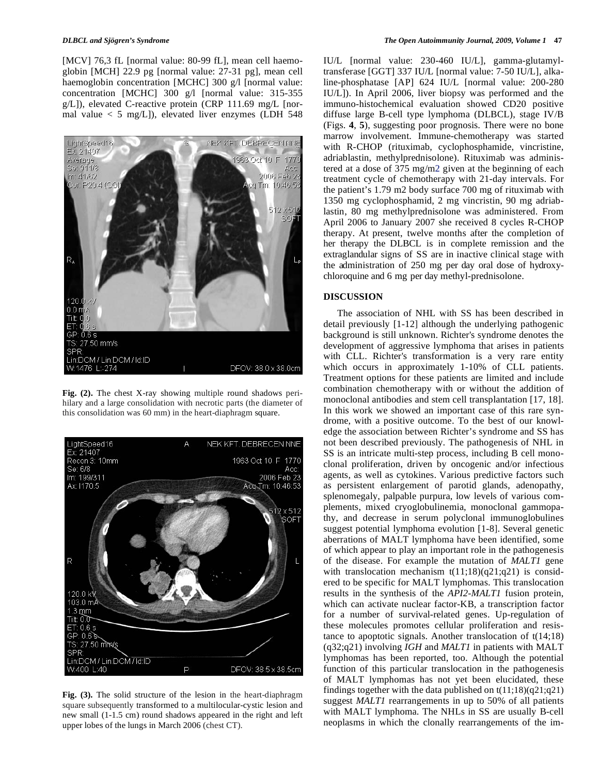[MCV] 76,3 fL [normal value: 80-99 fL], mean cell haemoglobin [MCH] 22.9 pg [normal value: 27-31 pg], mean cell haemoglobin concentration [MCHC] 300 g/l [normal value: concentration [MCHC] 300 g/l [normal value: 315-355 g/L]), elevated C-reactive protein (CRP 111.69 mg/L [normal value  $<$  5 mg/L]), elevated liver enzymes (LDH 548



**Fig. (2).** The chest X-ray showing multiple round shadows perihilary and a large consolidation with necrotic parts (the diameter of this consolidation was 60 mm) in the heart-diaphragm square.



**Fig. (3).** The solid structure of the lesion in the heart-diaphragm square subsequently transformed to a multilocular-cystic lesion and new small (1-1.5 cm) round shadows appeared in the right and left upper lobes of the lungs in March 2006 (chest CT).

IU/L [normal value: 230-460 IU/L], gamma-glutamyltransferase [GGT] 337 IU/L [normal value: 7-50 IU/L], alkaline-phosphatase [AP] 624 IU/L [normal value: 200-280 IU/L]). In April 2006, liver biopsy was performed and the immuno-histochemical evaluation showed CD20 positive diffuse large B-cell type lymphoma (DLBCL), stage IV/B (Figs. **4**, **5**), suggesting poor prognosis. There were no bone marrow involvement. Immune-chemotherapy was started with R-CHOP (rituximab, cyclophosphamide, vincristine, adriablastin, methylprednisolone). Rituximab was administered at a dose of 375 mg/m2 given at the beginning of each treatment cycle of chemotherapy with 21-day intervals. For the patient's 1.79 m2 body surface 700 mg of rituximab with 1350 mg cyclophosphamid, 2 mg vincristin, 90 mg adriablastin, 80 mg methylprednisolone was administered. From April 2006 to January 2007 she received 8 cycles R-CHOP therapy. At present, twelve months after the completion of her therapy the DLBCL is in complete remission and the extraglandular signs of SS are in inactive clinical stage with the administration of 250 mg per day oral dose of hydroxychloroquine and 6 mg per day methyl-prednisolone.

## **DISCUSSION**

 The association of NHL with SS has been described in detail previously [1-12] although the underlying pathogenic background is still unknown. Richter's syndrome denotes the development of aggressive lymphoma that arises in patients with CLL. Richter's transformation is a very rare entity which occurs in approximately 1-10% of CLL patients. Treatment options for these patients are limited and include combination chemotherapy with or without the addition of monoclonal antibodies and stem cell transplantation [17, 18]. In this work we showed an important case of this rare syndrome, with a positive outcome. To the best of our knowledge the association between Richter's syndrome and SS has not been described previously. The pathogenesis of NHL in SS is an intricate multi-step process, including B cell monoclonal proliferation, driven by oncogenic and/or infectious agents, as well as cytokines. Various predictive factors such as persistent enlargement of parotid glands, adenopathy, splenomegaly, palpable purpura, low levels of various complements, mixed cryoglobulinemia, monoclonal gammopathy, and decrease in serum polyclonal immunoglobulines suggest potential lymphoma evolution [1-8]. Several genetic aberrations of MALT lymphoma have been identified, some of which appear to play an important role in the pathogenesis of the disease. For example the mutation of *MALT1* gene with translocation mechanism  $t(11;18)(q21;q21)$  is considered to be specific for MALT lymphomas. This translocation results in the synthesis of the *API2-MALT1* fusion protein, which can activate nuclear factor-KB, a transcription factor for a number of survival-related genes. Up-regulation of these molecules promotes cellular proliferation and resistance to apoptotic signals. Another translocation of t(14;18) (q32;q21) involving *IGH* and *MALT1* in patients with MALT lymphomas has been reported, too. Although the potential function of this particular translocation in the pathogenesis of MALT lymphomas has not yet been elucidated, these findings together with the data published on  $t(11;18)(q21;q21)$ suggest *MALT1* rearrangements in up to 50% of all patients with MALT lymphoma. The NHLs in SS are usually B-cell neoplasms in which the clonally rearrangements of the im-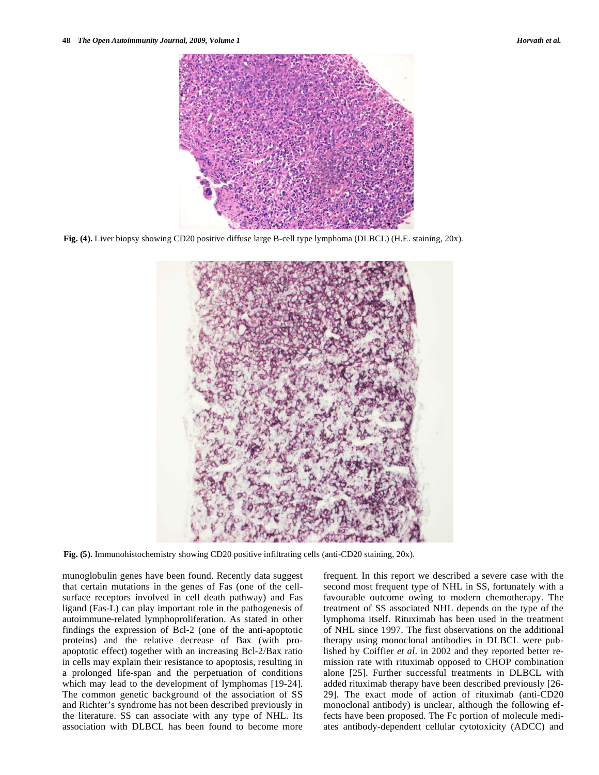

**Fig. (4).** Liver biopsy showing CD20 positive diffuse large B-cell type lymphoma (DLBCL) (H.E. staining, 20x).



**Fig. (5).** Immunohistochemistry showing CD20 positive infiltrating cells (anti-CD20 staining, 20x).

munoglobulin genes have been found. Recently data suggest that certain mutations in the genes of Fas (one of the cellsurface receptors involved in cell death pathway) and Fas ligand (Fas-L) can play important role in the pathogenesis of autoimmune-related lymphoproliferation. As stated in other findings the expression of Bcl-2 (one of the anti-apoptotic proteins) and the relative decrease of Bax (with proapoptotic effect) together with an increasing Bcl-2/Bax ratio in cells may explain their resistance to apoptosis, resulting in a prolonged life-span and the perpetuation of conditions which may lead to the development of lymphomas [19-24]. The common genetic background of the association of SS and Richter's syndrome has not been described previously in the literature. SS can associate with any type of NHL. Its association with DLBCL has been found to become more

frequent. In this report we described a severe case with the second most frequent type of NHL in SS, fortunately with a favourable outcome owing to modern chemotherapy. The treatment of SS associated NHL depends on the type of the lymphoma itself. Rituximab has been used in the treatment of NHL since 1997. The first observations on the additional therapy using monoclonal antibodies in DLBCL were published by Coiffier *et al*. in 2002 and they reported better remission rate with rituximab opposed to CHOP combination alone [25]. Further successful treatments in DLBCL with added rituximab therapy have been described previously [26- 29]. The exact mode of action of rituximab (anti-CD20 monoclonal antibody) is unclear, although the following effects have been proposed. The Fc portion of molecule mediates antibody-dependent cellular cytotoxicity (ADCC) and